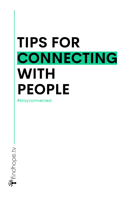# TIPS FOR CONNECTING WITH PEOPLE

#stayconnected

Wifindhope.tv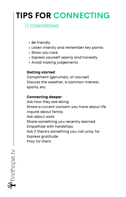## TIPS FOR CONNECTING

### // CONVERSING

- Be friendly
- Listen intently and remember key points
- Show you care
- Express yourself openly and honestly
- Avoid making judgements

#### Getting started

Compliment (genuinely, of course!) Discuss the weather, a common interest, sports, etc.

#### Connecting deeper

Ask how they are doing Share a current concern you have about life Inquire about family Ask about work Share something you recently learned Empathize with hardships Ask if there's something you can pray for Express gratitude Pray for them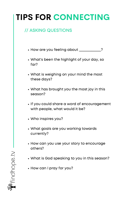# TIPS FOR CONNECTING

### // ASKING QUESTIONS

- How are you feeling about 2
- What's been the highlight of your day, so far?
- What is weighing on your mind the most these days?
- What has brought you the most joy in this season?
- If you could share a word of encouragement with people, what would it be?
- Who inspires you?
- What goals are you working towards currently?
- How can you use your story to encourage others?
- What is God speaking to you in this season?
- How can I pray for you?